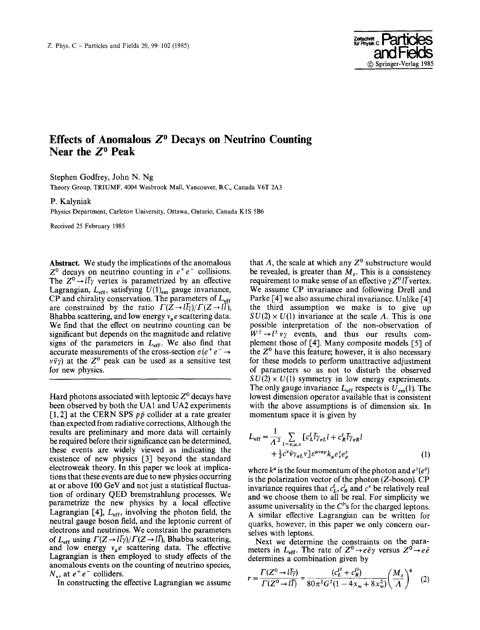

## Effects of Anomalous  $Z^0$  Decays on Neutrino Counting Near the  $Z^0$  Peak

Stephen Godfrey, John N. Ng

Theory Group, TRIUMF, 4004 Wesbrook Mall, Vancouver, B.C., Canada V6T 2A3

P. Kalyniak

Physics Department, Carleton University, Ottawa, Ontario, Canada K1S 5B6

Received 25 February 1985

Abstract. We study the implications of the anomalous  $Z^0$  decays on neutrino counting in  $e^+e^-$  collisions. The  $Z^0 \rightarrow l\bar{l}\gamma$  vertex is parametrized by an effective Lagrangian,  $L_{\text{eff}}$ , satisfying  $U(1)_{\text{em}}$  gauge invariance, CP and chirality conservation. The parameters of  $L_{\text{eff}}$ are constrained by the ratio  $\Gamma(Z \to l\bar{l}\gamma)/\Gamma(Z \to l\bar{l}),$ Bhabba scattering, and low energy  $v_{\mu}e$  scattering data. We find that the effect on neutrino counting can be significant but depends on the magnitude and relative signs of the parameters in  $L_{\text{eff}}$ . We also find that accurate measurements of the cross-section  $\sigma(e^+e^- \rightarrow$  $v\bar{v}y$ ) at the  $Z^0$  peak can be used as a sensitive test for new physics.

Hard photons associated with leptonic  $Z^0$  decays have been observed by both the UA1 and UA2 experiments [1, 2] at the CERN SPS  $p\bar{p}$  collider at a rate greater than expected from radiative corrections, Although the results are preliminary and more data will certainly be required before their significance can be determined, these events are widely viewed as indicating the existence of new physics [3] beyond the standard electroweak theory. In this paper we look at implications that these events are due to new physics occurring at or above 100 GeV and not just a statistical fluctuation of ordinary QED bremstrahlung processes. We parametrize the new physics by a local effective Lagrangian [4],  $L_{\text{eff}}$ , involving the photon field, the neutral gauge boson field, and the leptonic current of electrons and neutrinos. We constrain the parameters of  $L_{\text{eff}}$  using  $\Gamma(Z \to l\bar{l}\gamma)/\Gamma(Z \to l\bar{l})$ , Bhabba scattering, and low energy  $v_{\mu}e$  scattering data. The effective Lagrangian is then employed to study effects of the anomalous events on the counting of neutrino species,  $N_v$ , at  $e^+e^-$  colliders.

In constructing the effective Lagrangian we assume

that  $\Lambda$ , the scale at which any  $Z^0$  substructure would be revealed, is greater than  $M_{\tau}$ . This is a consistency requirement to make sense of an effective  $\gamma Z^0 l \bar{l}$  vertex. We assume CP invariance and following Drell and Parke [4] we also assume chiral invariance. Unlike [4] the third assumption we make is to give up  $SU(2) \times U(1)$  invariance at the scale A. This is one possible interpretation of the non-observation of  $W^{\pm} \rightarrow l^{\pm} \nu \gamma$  events, and thus our results complement those of [4]. Many composite models [5] of the  $Z<sup>0</sup>$  have this feature; however, it is also necessary for these models to perform unattractive adjustment of parameters so as not to disturb the observed  $SU(2) \times U(1)$  symmetry in low energy experiments. The only gauge invariance  $L_{\text{eff}}$  respects is  $U_{\text{em}}(1)$ . The lowest dimension operator available that is consistent with the above assumptions is of dimension six. In momentum space it is given by

$$
L_{\text{eff}} = \frac{1}{A^2} \sum_{l = e, \mu, \tau} \left[ c_L^l \bar{l} \gamma_{\sigma L} l + c_R^l \bar{l} \gamma_{\sigma R} l \right. \left. + \frac{1}{2} c^v \bar{\nu} \gamma_{\sigma L} v \right] \varepsilon^{\mu \nu \sigma \rho} k_\mu e_v^\nu e_\rho^z \tag{1}
$$

where  $k^{\mu}$  is the four momentum of the photon and  $e^{\gamma}(e^z)$ is the polarization vector of the photon  $(Z$ -boson).  $CP$ invariance requires that  $c<sub>L</sub><sup>l</sup>, c<sub>R</sub><sup>l</sup>$  and  $c<sup>v</sup>$  be relatively real and we choose them to all be real. For simplicity we assume universality in the  $C<sup>t</sup>$ 's for the charged leptons. A similar effective Lagrangian can be written for quarks, however, in this paper we only concern ourselves with leptons.

Next we determine the constraints on the parameters in  $L_{eff}$ . The rate of  $Z^0 \rightarrow e \bar{e} \gamma$  versus  $Z^0 \rightarrow e \bar{e}$ determines a combination given by

$$
r = \frac{\Gamma(Z^0 \to l\bar{l}\gamma)}{\Gamma(Z^0 \to l\bar{l})} = \frac{(c_L^{l^2} + c_R^{l^2})}{80\pi^2 G^2 (1 - 4x_w + 8x_w^2)} \left(\frac{M_z}{A}\right)^4 \quad (2)
$$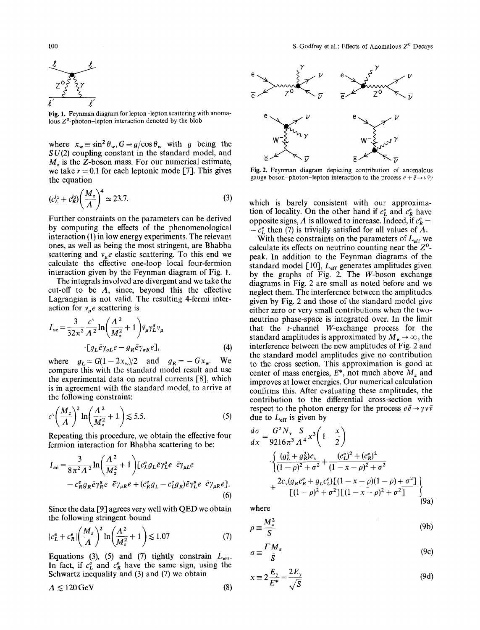

Fig. 1. Feynman diagram for lepton-lepton scattering with anomalous  $Z^0$ -photon-lepton interaction denoted by the blob

where  $x_w \equiv \sin^2 \theta_w$ ,  $G \equiv g/\cos \theta_w$  with g being the  $SU(2)$  coupling constant in the standard model, and *Mz* is the Z-boson mass. For our numerical estimate, we take  $r = 0.1$  for each leptonic mode [7]. This gives the equation

$$
(c_L^{l_2} + c_R^{l_2}) \left(\frac{M_z}{A}\right)^4 \simeq 23.7.
$$
 (3)

Further constraints on the parameters can be derived by computing the effects of the phenomenological interaction (1) in low energy experiments. The relevant ones, as well as being the most stringent, are Bhabba scattering and  $v_{\mu}e$  elastic scattering. To this end we calculate the effective one-loop local four-fermion interaction given by the Feynman diagram of Fig. 1.

The integrals involved are divergent and we take the cut-off to be  $\Lambda$ , since, beyond this the effective Lagrangian is not valid. The resulting 4-fermi interaction for  $v_{\mu}e$  scattering is

$$
I_{ve} = \frac{3}{32\pi^2} \frac{c^{\nu}}{\Lambda^2} \ln\left(\frac{\Lambda^2}{M_z^2} + 1\right) \bar{v}_{\mu} \gamma_L^{\sigma} v_{\mu}
$$
  
 
$$
[g_L \bar{e} \gamma_{\sigma L} e - g_R \bar{e} \gamma_{\sigma R} e], \tag{4}
$$

where  $g_L = G(1-2x_w)/2$  and  $g_R = -Gx_w$ . We compare this with the standard model result and use the experimental data on neutral currents [8], which is in agreement with the standard model, to arrive at the following constraint:

$$
c^{v}\left(\frac{M_{z}}{A}\right)^{2}\ln\left(\frac{A^{2}}{M_{z}^{2}}+1\right) \lesssim 5.5.
$$
 (5)

Repeating this procedure, we obtain the effective four fermion interaction for Bhabha scattering to be:

$$
I_{ee} = \frac{3}{8\pi^2 A^2} \ln\left(\frac{A^2}{M_z^2} + 1\right) \left[c_L^e g_L \bar{e} \gamma_L^\mu e \ \bar{e} \gamma_{\mu L} e \right] - c_R^e g_R \bar{e} \gamma_R^\mu e \ \bar{e} \gamma_{\mu R} e + (c_R^e g_L - c_L^e g_R) \bar{e} \gamma_L^\mu e \ \bar{e} \gamma_{\mu R} e \right].
$$
\n(6)

Since the data [9] agrees very well with QED we obtain the following stringent bound

$$
|c_L^e + c_R^e| \left(\frac{M_z}{A}\right)^2 \ln\left(\frac{A^2}{M_z^2} + 1\right) \lesssim 1.07\tag{7}
$$

Equations (3), (5) and (7) tightly constrain  $L_{\text{eff}}$ . In fact, if  $c<sub>L</sub><sup>e</sup>$  and  $c<sub>R</sub><sup>e</sup>$  have the same sign, using the Schwartz inequality and (3) and (7) we obtain

$$
A \lesssim 120 \,\text{GeV} \tag{8}
$$



Fig. 2. Feynman diagram depicting contribution of anomalous gauge boson-photon-lepton interaction to the process  $e + \bar{e} \rightarrow v \bar{v}y$ 

which is barely consistent with our approximation of locality. On the other hand if  $c_{L}^{e}$  and  $c_{R}^{e}$  have opposite signs,  $\Lambda$  is allowed to increase. Indeed, if  $c_R^e$  =  $-c<sub>L</sub><sup>e</sup>$  then (7) is trivially satisfied for all values of  $\Lambda$ .

With these constraints on the parameters of  $L_{\text{eff}}$  we calculate its effects on neutrino counting near the  $Z^0$ peak. In addition to the Feynman diagrams of the standard model [10],  $L_{\text{eff}}$  generates amplitudes given by the graphs of Fig. 2. The W-boson exchange diagrams in Fig. 2 are small as noted before and we neglect them. The interference between the amplitudes given by Fig. 2 and those of the standard model give either zero or very small contributions when the twoneutrino phase-space is integrated over. In the limit that the t-channel W-exchange process for the standard amplitudes is approximated by  $M_w \to \infty$ , the interference between the new amplitudes of Fig. 2 and the standard model amplitudes give no contribution to the cross section. This approximation is good at center of mass energies,  $E^*$ , not much above  $M_z$  and improves at lower energies. Our numerical calculation confirms this. After evaluating these amplitudes, the contribution to the differential cross-section with respect to the photon energy for the process  $e\bar{e}\rightarrow \gamma v\bar{v}$ due to  $L_{\text{eff}}$  is given by

$$
\frac{d\sigma}{dx} = \frac{G^2 N_v}{9216\pi^3} \frac{S}{A^4} x^3 \left( 1 - \frac{x}{2} \right)
$$
  

$$
\frac{\left\{ \frac{(g_L^2 + g_R^2)c_v}{(1 - \rho)^2 + \sigma^2} + \frac{(c_L^e)^2 + (c_R^e)^2}{(1 - x - \rho)^2 + \sigma^2} \right\}}{\left[ (1 - \rho)^2 + \sigma^2 \right] \left[ (1 - x - \rho)(1 - \rho) + \sigma^2 \right]}
$$
  

$$
\left[ (1 - \rho)^2 + \sigma^2 \right] \left[ (1 - x - \rho)^2 + \sigma^2 \right] \tag{9a}
$$

where

$$
\rho \equiv \frac{M_z^2}{S} \tag{9b}
$$

$$
\sigma \equiv \frac{\Gamma M_z}{S} \tag{9c}
$$

$$
x \equiv 2\frac{E_{\gamma}}{E^*} = \frac{2E_{\gamma}}{\sqrt{S}}
$$
(9d)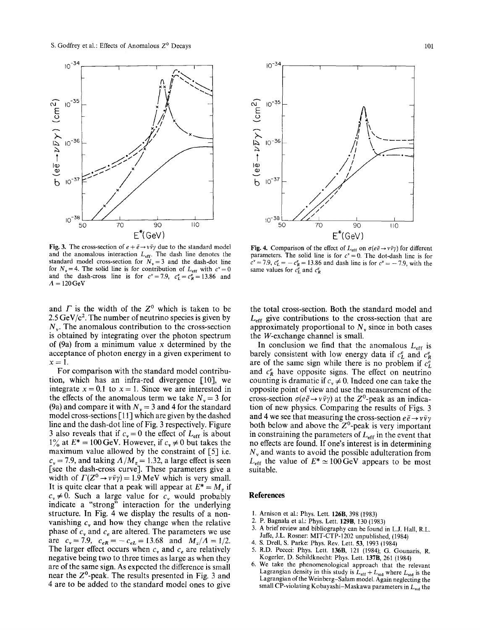

Fig. 3. The cross-section of  $e + \bar{e} \rightarrow v\bar{v}\gamma$  due to the standard model and the anomalous interaction  $L_{\text{eff}}$ . The dash line denotes the standard model cross-section for  $N_v = 3$  and the dash-dot line for  $N_v = 4$ . The solid line is for contribution of  $L_{\text{eff}}$  with  $c^v = 0$ and the dash-cross line is for  $c^v = 7.9$ ,  $c^e = c^e = 13.86$  and  $A = 120 \,\mathrm{GeV}$ 

and  $\Gamma$  is the width of the  $Z^0$  which is taken to be 2.5 GeV/ $c^2$ . The number of neutrino species is given by  $N_{\rm w}$ . The anomalous contribution to the cross-section is obtained by integrating over the photon spectrum of (9a) from a minimum value x determined by the acceptance of photon energy in a given experiment to  $x=1$ .

For comparison with the standard model contribution, which has an infra-red divergence [10], we integrate  $x = 0.1$  to  $x = 1$ . Since we are interested in the effects of the anomalous term we take  $N_v = 3$  for (9a) and compare it with  $N_v = 3$  and 4 for the standard model cross-sections [11] which are given by the dashed line and the dash-dot line of Fig. 3 respectively. Figure 3 also reveals that if  $c_v = 0$  the effect of  $L_{\text{eff}}$  is about  $1\%$  at  $E^* = 100 \,\text{GeV}$ . However, if  $c_v \neq 0$  but takes the maximum value allowed by the constraint of [5] i.e.  $c_v = 7.9$ , and taking  $A/M_z = 1.32$ , a large effect is seen [see the dash-cross curve]. These parameters give a width of  $\Gamma(Z^0 \to \nu \bar{\nu} \gamma) = 1.9$  MeV which is very small. It is quite clear that a peak will appear at  $E^* = M$ , if  $c_v \neq 0$ . Such a large value for  $c_v$  would probably indicate a "strong" interaction for the underlying structure. In Fig. 4 we display the results of a nonvanishing  $c<sub>v</sub>$  and how they change when the relative phase of  $c_v$  and  $c_e$  are altered. The parameters we use are  $c_v = 7.9$ ,  $c_{eR} = -c_{eL} = 13.68$  and  $M_z/A = 1/2$ . The larger effect occurs when  $c<sub>v</sub>$  and  $c<sub>e</sub>$  are relatively negative being two to three times as large as when they are of the same sign. As expected the difference is small near the  $Z^0$ -peak. The results presented in Fig. 3 and 4 are to be added to the standard model ones to give



Fig. 4. Comparison of the effect of  $L_{\text{eff}}$  on  $\sigma(e\bar{e}\to v\bar{v}\gamma)$  for different parameters. The solid line is for  $c^{\nu} = 0$ . The dot-dash line is for  $c^{\nu} = 7.9$ ,  $c_L^e = -c_R^e = 13.86$  and dash line is for  $c^{\nu} = -7.9$ , with the same values for  $c<sub>L</sub><sup>e</sup>$  and  $c<sub>R</sub><sup>e</sup>$ 

the total cross-section. Both the standard model and  $L_{\text{eff}}$  give contributions to the cross-section that are approximately proportional to  $N_{v}$  since in both cases the W-exchange channel is small.

In conclusion we find that the anomalous  $L_{\text{eff}}$  is barely consistent with low energy data if  $c<sub>L</sub><sup>e</sup>$  and  $c<sub>R</sub><sup>e</sup>$ are of the same sign while there is no problem if  $c<sub>L</sub><sup>e</sup>$ and  $c_{R}^{e}$  have opposite signs. The effect on neutrino counting is dramatic if  $c_v \neq 0$ . Indeed one can take the opposite point of view and use the measurement of the cross-section  $\sigma(e\bar{e} \rightarrow v\bar{v}\gamma)$  at the Z<sup>o</sup>-peak as an indication of new physics. Comparing the results of Figs. 3 and 4 we see that measuring the cross-section  $e\bar{e} \rightarrow v\bar{v}\gamma$ both below and above the  $Z^0$ -peak is very important in constraining the parameters of  $L_{\text{eff}}$  in the event that no effects are found. If one's interest is in determining  $N_{v}$  and wants to avoid the possible adulteration from  $L_{\text{eff}}$  the value of  $E^* \approx 100 \,\text{GeV}$  appears to be most suitable.

## **References**

- 1. Arnison et al.: Phys. Lett. 126B, 398 (1983)
- 2. P. Bagnala et al.: Phys. Lett. 129B, 130 (1983)
- 3. A brief review and bibliography can be found in L.J. Hall, R.L. Jaffe, J.L Rosner: MIT-CTP-1202 unpublished, (1984)
- 4. S. Drell, S. Parke: Phys. Rev. Lett. 53, 1993 (1984)
- 5. R.D. Peccei: Phys. Lett. 136B, 121 (1984); G. Gounaris, R. Kogerler, D. Schildknecht: Phys. Lett. 137B, 261 (1984)
- 6. We take the phenomenological approach that the relevant Lagrangian density in this study is  $L_{\text{eff}} + L_{\text{std}}$  where  $L_{\text{std}}$  is the Lagrangian of the Weinberg-Salam model. Again neglecting the small CP-violating Kobayashi-Maskawa parameters in  $L_{sd}$  the